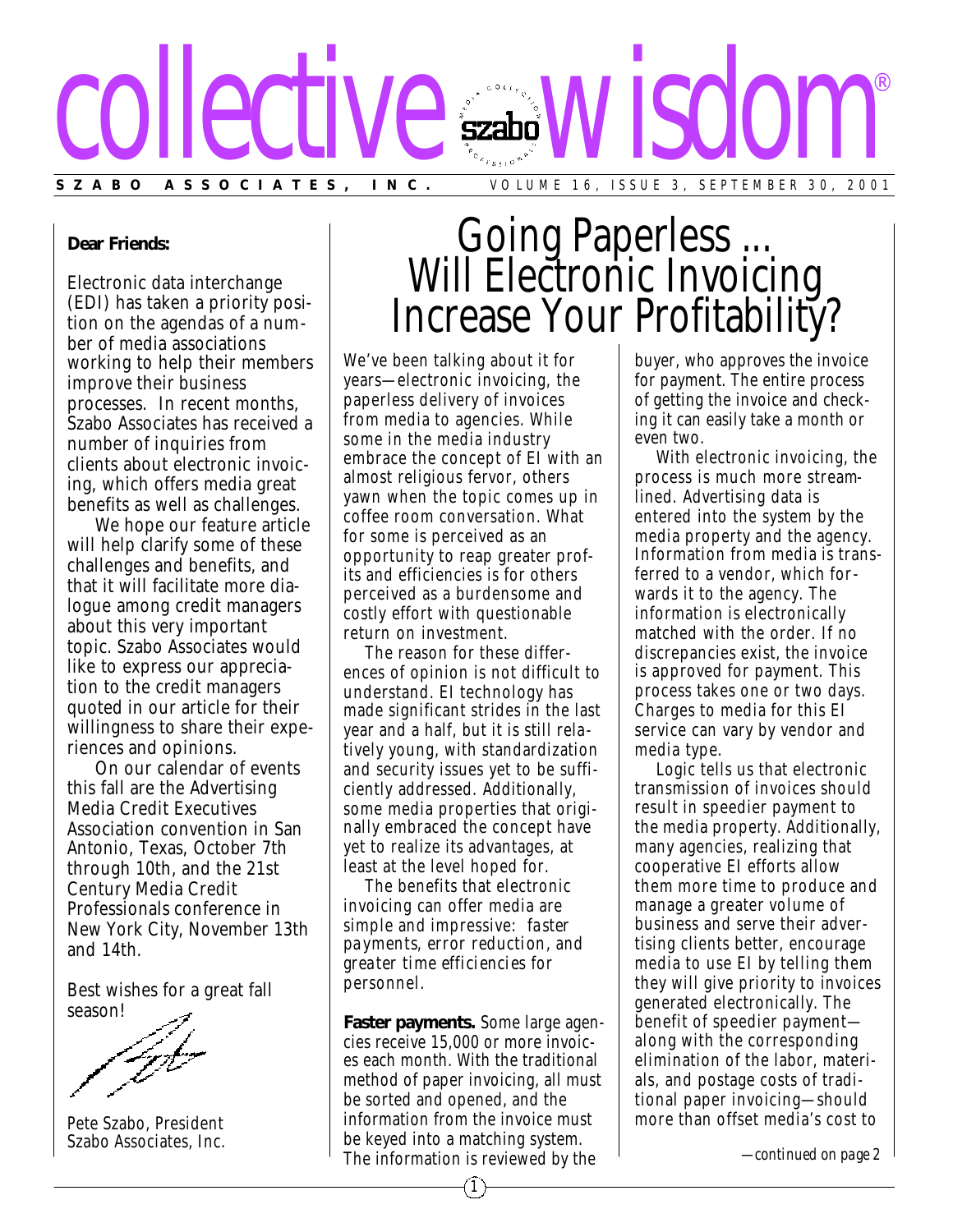

## **Dear Friends:**

Electronic data interchange (EDI) has taken a priority position on the agendas of a number of media associations working to help their members improve their business processes. In recent months, Szabo Associates has received a number of inquiries from clients about electronic invoicing, which offers media great benefits as well as challenges.

We hope our feature article will help clarify some of these challenges and benefits, and that it will facilitate more dialogue among credit managers about this very important topic. Szabo Associates would like to express our appreciation to the credit managers quoted in our article for their willingness to share their experiences and opinions.

On our calendar of events this fall are the Advertising Media Credit Executives Association convention in San Antonio, Texas, October 7th through 10th, and the 21st Century Media Credit Professionals conference in New York City, November 13th and 14th.

Best wishes for a great fall season!

Pete Szabo, President Szabo Associates, Inc.

## Going Paperless ... Will Electronic Invoicing Increase Your Profitability?

We've been talking about it for years—electronic invoicing, the paperless delivery of invoices from media to agencies. While some in the media industry embrace the concept of EI with an almost religious fervor, others yawn when the topic comes up in coffee room conversation. What for some is perceived as an opportunity to reap greater profits and efficiencies is for others perceived as a burdensome and costly effort with questionable return on investment.

The reason for these differences of opinion is not difficult to understand. EI technology has made significant strides in the last year and a half, but it is still rela tively young, with standardization and security issues yet to be sufficiently addressed. Additionally, some media properties that originally embraced the concept have yet to realize its advantages, at least at the level hoped for.

The benefits that electronic invoicing can offer media are simple and impressive: *faster payments*, *error reduction*, and *greater time efficiencies* for personnel.

**Faster payments.** Some large agencies receive 15,000 or more invoices each month. With the traditional method of paper invoicing, all must be sorted and opened, and the information from the invoice must be keyed into a matching system. The information is reviewed by the

buyer, who approves the invoice for payment. The entire process of getting the invoice and checking it can easily take a month or even two.

With electronic invoicing, the process is much more streamlined. Advertising data is entered into the system by the media property and the agency. Information from media is transferred to a vendor, which forwards it to the agency. The information is electronically matched with the order. If no discrepancies exist, the invoice is approved for payment. This process takes one or two days. Charges to media for this EI service can vary by vendor and media type.

Logic tells us that electronic transmission of invoices should result in speedier payment to the media property. Additionally, many agencies, realizing that cooperative EI efforts allow them more time to produce and manage a greater volume of business and serve their advertising clients better, encourage media to use EI by telling them they will give priority to invoices generated electronically. The benefit of speedier payment along with the corresponding elimination of the labor, materials, and postage costs of traditional paper invoicing—should more than offset media's cost to

*—continued on page 2*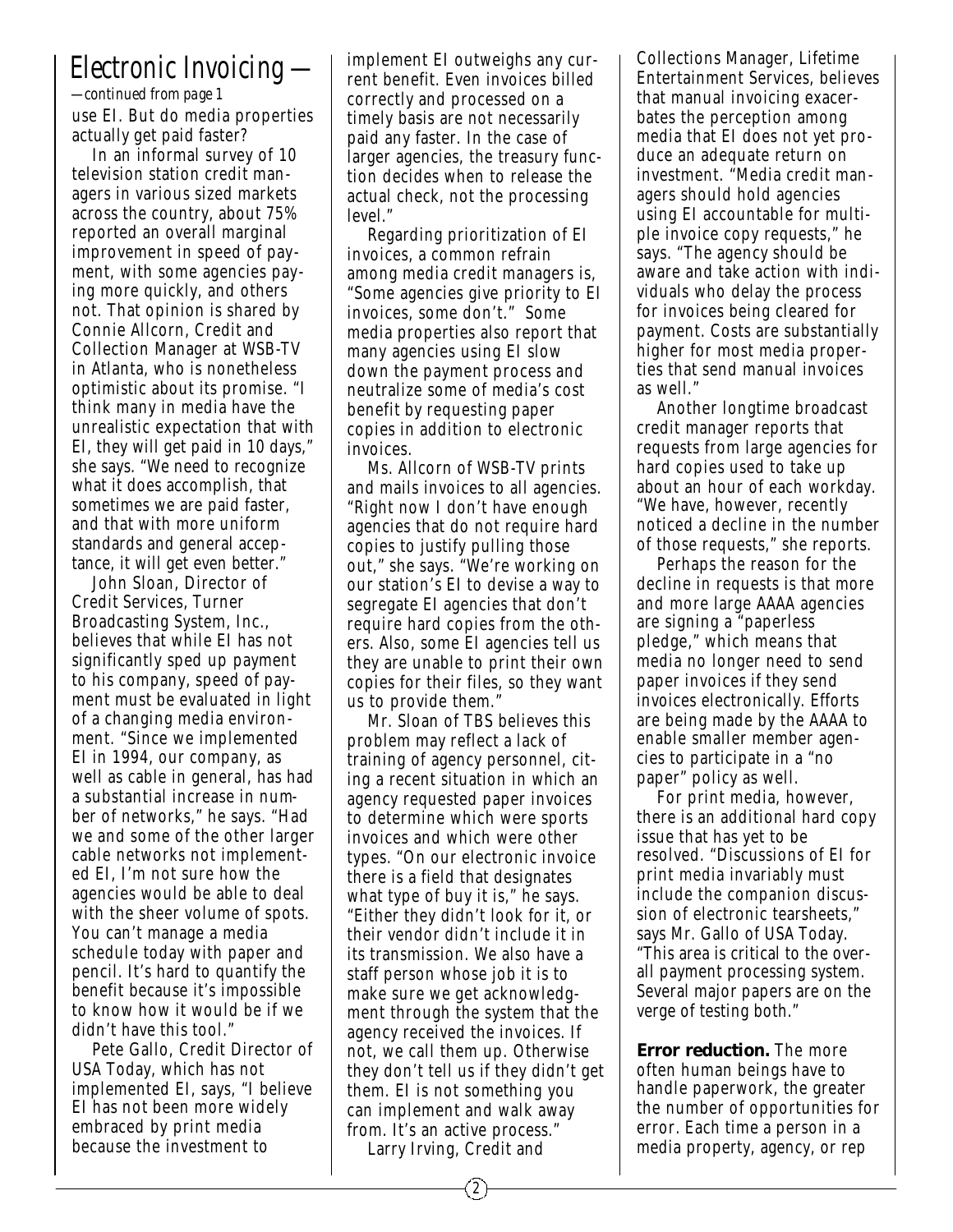## *Electronic Invoicing —*

use EI. But do media properties actually get paid faster? *—continued from page 1*

In an informal survey of 10 television station credit managers in various sized markets across the country, about 75% reported an overall marginal improvement in speed of pay ment, with some agencies paying more quickly, and others not. That opinion is shared by Connie Allcorn, Credit and Collection Manager at WSB-TV in Atlanta, who is nonetheless optimistic about its promise. "I think many in media have the unrealistic expectation that with EI, they will get paid in 10 days," she says. "We need to recognize what it does accomplish, that sometimes we are paid faster, and that with more uniform standards and general acceptance, it will get even better."

John Sloan, Director of Credit Services, Turner Broadcasting System, Inc., believes that while EI has not significantly sped up payment to his company, speed of payment must be evaluated in light of a changing media environment. "Since we implemented EI in 1994, our company, as well as cable in general, has had a substantial increase in number of networks," he says. "Had we and some of the other larger cable networks not implemented EI, I'm not sure how the agencies would be able to deal with the sheer volume of spots. You can't manage a media schedule today with paper and pencil. It's hard to quantify the benefit because it's impossible to know how it would be if we didn't have this tool."

Pete Gallo, Credit Director of USA Today, which has not implemented EI, says, "I believe EI has not been more widely embraced by print media because the investment to

implement EI outweighs any current benefit. Even invoices billed correctly and processed on a timely basis are not necessarily paid any faster. In the case of larger agencies, the treasury function decides when to release the actual check, not the processing level."

Regarding prioritization of EI invoices, a common refrain among media credit managers is, "Some agencies give priority to EI invoices, some don't." Some media properties also report that many agencies using EI slow down the payment process and neutralize some of media's cost benefit by requesting paper copies in addition to electronic invoices.

Ms. Allcorn of WSB-TV prints and mails invoices to all agencies. "Right now I don't have enough agencies that do not require hard copies to justify pulling those out," she says. "We're working on our station's EI to devise a way to segregate EI agencies that don't require hard copies from the others. Also, some EI agencies tell us they are unable to print their own copies for their files, so they want us to provide them."

Mr. Sloan of TBS believes this problem may reflect a lack of training of agency personnel, citing a recent situation in which an agency requested paper invoices to determine which were sports invoices and which were other types. "On our electronic invoice there is a field that designates what type of buy it is," he says. "Either they didn't look for it, or their vendor didn't include it in its transmission. We also have a staff person whose job it is to make sure we get acknowledgment through the system that the agency received the invoices. If not, we call them up. Otherwise they don't tell us if they didn't get them. EI is not something you can implement and walk away from. It's an active process."

Larry Irving, Credit and

Collections Manager, Lifetime Entertainment Services, believes that manual invoicing exacerbates the perception among media that EI does not yet produce an adequate return on investment. "Media credit managers should hold agencies using EI accountable for multiple invoice copy requests," he says. "The agency should be aware and take action with individuals who delay the process for invoices being cleared for payment. Costs are substantially higher for most media properties that send manual invoices as well."

Another longtime broadcast credit manager reports that requests from large agencies for hard copies used to take up about an hour of each workday. "We have, however, recently noticed a decline in the number of those requests," she reports.

Perhaps the reason for the decline in requests is that more and more large AAAA agencies are signing a "paperless pledge," which means that media no longer need to send paper invoices if they send invoices electronically. Efforts are being made by the AAAA to enable smaller member agencies to participate in a "no paper" policy as well.

For print media, however, there is an additional hard copy issue that has yet to be resolved. "Discussions of EI for print media invariably must include the companion discussion of electronic tearsheets," says Mr. Gallo of USA Today. "This area is critical to the overall payment processing system. Several major papers are on the verge of testing both."

**Error reduction.** The more often human beings have to handle paperwork, the greater the number of opportunities for error. Each time a person in a media property, agency, or rep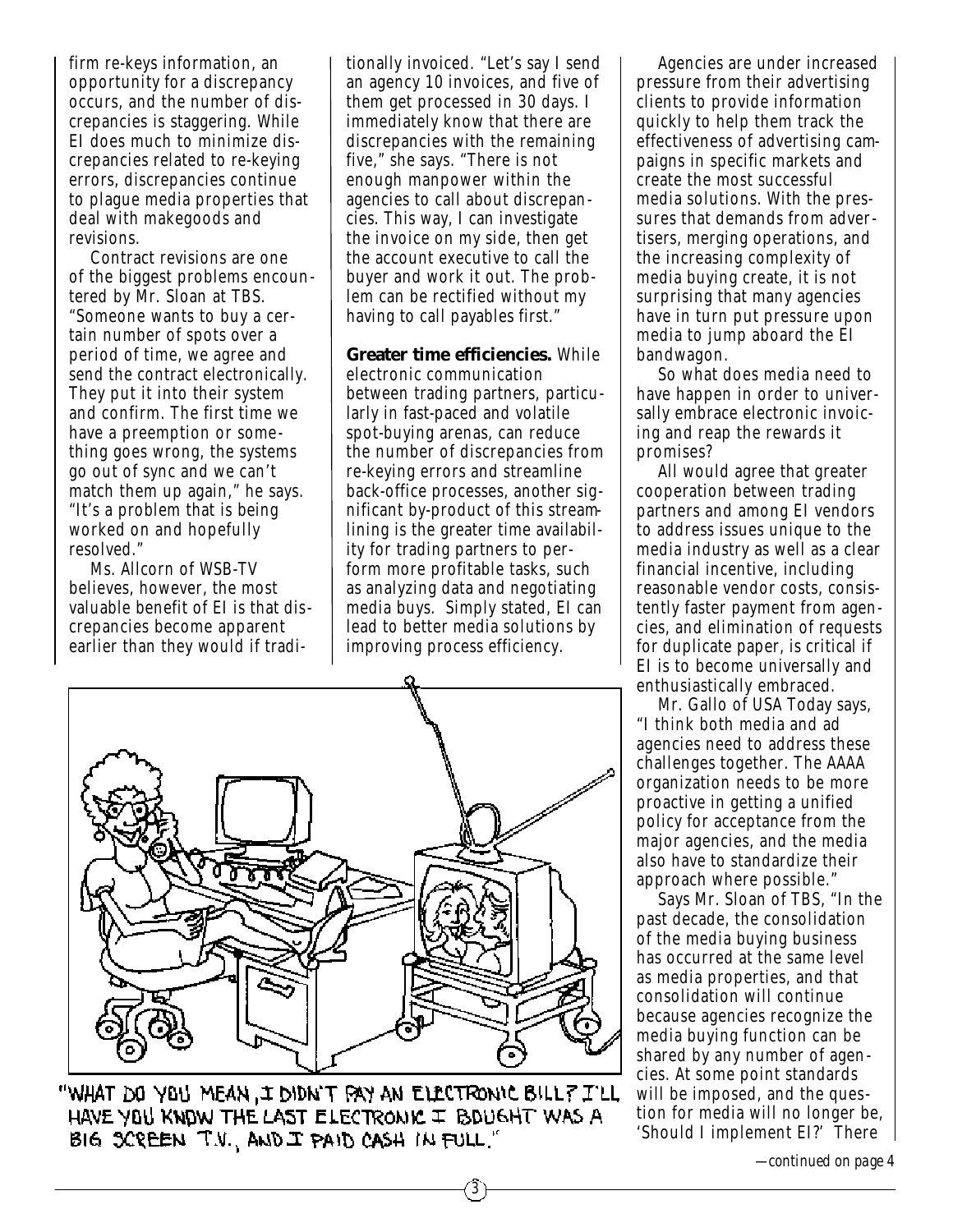firm re-keys information, an opportunity for a discrepancy occurs, and the number of discrepancies is staggering. While EI does much to minimize discrepancies related to re-keying errors, discrepancies continue to plague media properties that deal with makegoods and revisions.

Contract revisions are one of the biggest problems encountered by Mr. Sloan at TBS. "Someone wants to buy a certain number of spots over a period of time, we agree and send the contract electronically. They put it into their system and confirm. The first time we have a preemption or some thing goes wrong, the systems go out of sync and we can't match them up again," he says. "It's a problem that is being worked on and hopefully resolved."

Ms. Allcorn of WSB-TV believes, however, the most valuable benefit of EI is that dis crepancies become apparent earlier than they would if traditionally invoiced. "Let's say I send an agency 10 invoices, and five of them get processed in 30 days. I immediately know that there are discrepancies with the remaining five," she says. "There is not enough manpower within the agencies to call about discrepancies. This way, I can investigate the invoice on my side, then get the account executive to call the buyer and work it out. The problem can be rectified without my having to call payables first."

**Greater time efficiencies.** While electronic communication between trading partners, particularly in fast-paced and volatile spot-buying arenas, can reduce the number of discrepancies from re-keying errors and streamline back-office processes, another significant by-product of this streamlining is the greater time availability for trading partners to perform more profitable tasks, such as analyzing data and negotiating media buys. Simply stated, EI can lead to better media solutions by improving process efficiency.

3



"WHAT DO YOU MEAN, I DIDN'T PAY AN ELECTRONIC BILL? I'LL HAVE YOU KNOW THE LAST ELECTRONIC I BOUGHT WAS A BIG SCREEN T.V., AND I PAID CASH IN FULL."

Agencies are under increased pressure from their advertising clients to provide information quickly to help them track the effectiveness of advertising campaigns in specific markets and create the most successful media solutions. With the pressures that demands from advertisers, merging operations, and the increasing complexity of media buying create, it is not surprising that many agencies have in turn put pressure upon media to jump aboard the EI bandwagon.

So what does media need to have happen in order to universally embrace electronic invoicing and reap the rewards it promises?

All would agree that greater cooperation between trading partners and among EI vendors to address issues unique to the media industry as well as a clear financial incentive, including reasonable vendor costs, consistently faster payment from agencies, and elimination of requests for duplicate paper, is critical if EI is to become universally and enthusiastically embraced.

Mr. Gallo of USA Today says, "I think both media and ad agencies need to address these challenges together. The AAAA organization needs to be more proactive in getting a unified policy for acceptance from the major agencies, and the media also have to standardize their approach where possible."

Says Mr. Sloan of TBS, "In the past decade, the consolidation of the media buying business has occurred at the same level as media properties, and that consolidation will continue because agencies recognize the media buying function can be shared by any number of agencies. At some point standards will be imposed, and the question for media will no longer be, 'Should I implement EI?' There